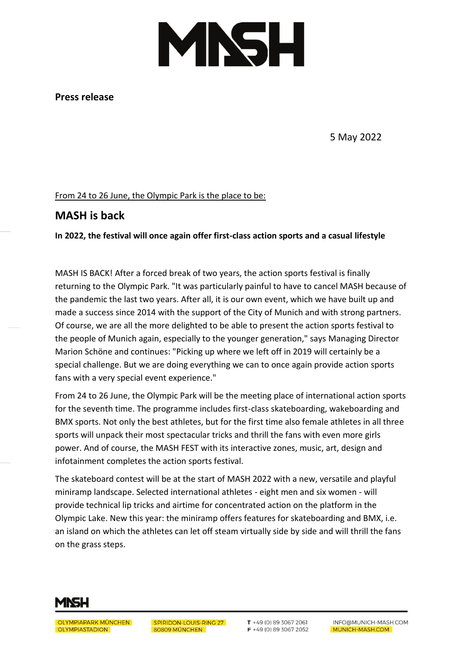## **MIZSH**

## **Press release**

5 May 2022

## From 24 to 26 June, the Olympic Park is the place to be:

## **MASH is back**

**In 2022, the festival will once again offer first-class action sports and a casual lifestyle**

MASH IS BACK! After a forced break of two years, the action sports festival is finally returning to the Olympic Park. "It was particularly painful to have to cancel MASH because of the pandemic the last two years. After all, it is our own event, which we have built up and made a success since 2014 with the support of the City of Munich and with strong partners. Of course, we are all the more delighted to be able to present the action sports festival to the people of Munich again, especially to the younger generation," says Managing Director Marion Schöne and continues: "Picking up where we left off in 2019 will certainly be a special challenge. But we are doing everything we can to once again provide action sports fans with a very special event experience."

From 24 to 26 June, the Olympic Park will be the meeting place of international action sports for the seventh time. The programme includes first-class skateboarding, wakeboarding and BMX sports. Not only the best athletes, but for the first time also female athletes in all three sports will unpack their most spectacular tricks and thrill the fans with even more girls power. And of course, the MASH FEST with its interactive zones, music, art, design and infotainment completes the action sports festival.

The skateboard contest will be at the start of MASH 2022 with a new, versatile and playful miniramp landscape. Selected international athletes - eight men and six women - will provide technical lip tricks and airtime for concentrated action on the platform in the Olympic Lake. New this year: the miniramp offers features for skateboarding and BMX, i.e. an island on which the athletes can let off steam virtually side by side and will thrill the fans on the grass steps.



**OLYMPIAPARK MÜNCHEN** OLYMPIASTADION